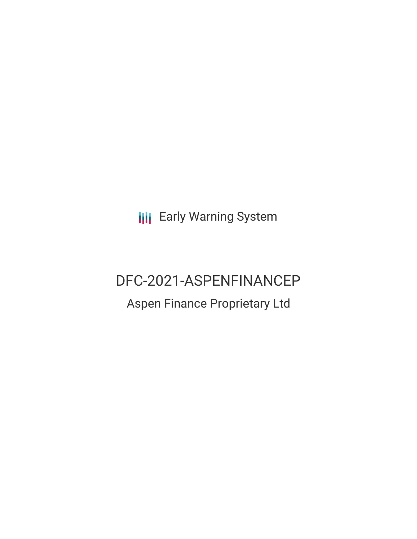**III** Early Warning System

# DFC-2021-ASPENFINANCEP

## Aspen Finance Proprietary Ltd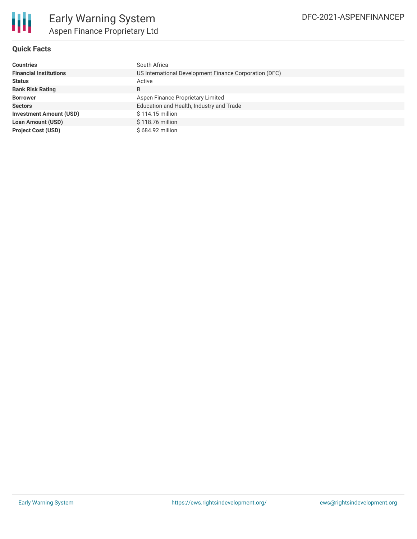

### **Quick Facts**

| <b>Countries</b>               | South Africa                                           |  |  |  |
|--------------------------------|--------------------------------------------------------|--|--|--|
| <b>Financial Institutions</b>  | US International Development Finance Corporation (DFC) |  |  |  |
| <b>Status</b>                  | Active                                                 |  |  |  |
| <b>Bank Risk Rating</b>        | B                                                      |  |  |  |
| <b>Borrower</b>                | Aspen Finance Proprietary Limited                      |  |  |  |
| <b>Sectors</b>                 | Education and Health, Industry and Trade               |  |  |  |
| <b>Investment Amount (USD)</b> | \$114.15 million                                       |  |  |  |
| <b>Loan Amount (USD)</b>       | \$118.76 million                                       |  |  |  |
| <b>Project Cost (USD)</b>      | \$684.92 million                                       |  |  |  |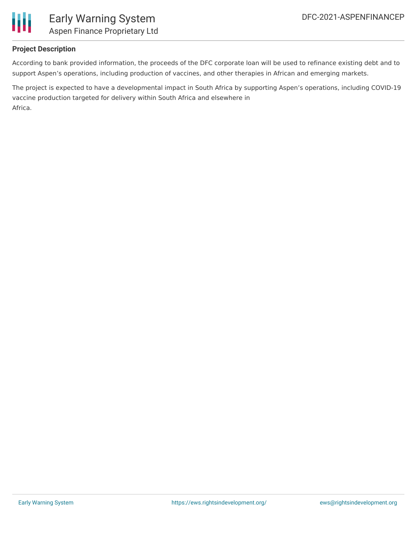

### **Project Description**

According to bank provided information, the proceeds of the DFC corporate loan will be used to refinance existing debt and to support Aspen's operations, including production of vaccines, and other therapies in African and emerging markets.

The project is expected to have a developmental impact in South Africa by supporting Aspen's operations, including COVID-19 vaccine production targeted for delivery within South Africa and elsewhere in Africa.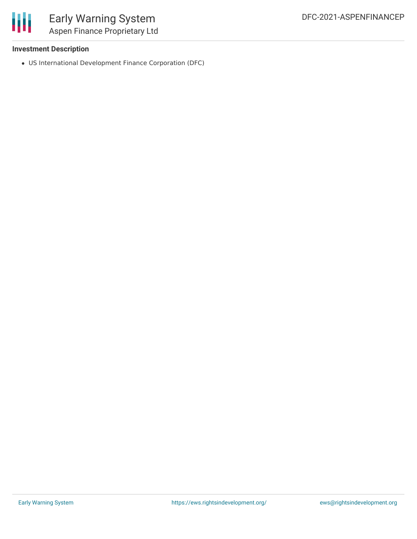

### Early Warning System Aspen Finance Proprietary Ltd

### **Investment Description**

US International Development Finance Corporation (DFC)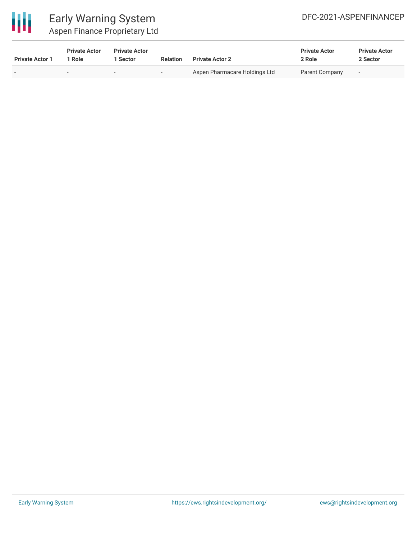

### Early Warning System Aspen Finance Proprietary Ltd

| <b>Private Actor 1</b> | <b>Private Actor</b><br>Role | <b>Private Actor</b><br>Sector | <b>Relation</b>          | <b>Private Actor 2</b>        | <b>Private Actor</b><br>2 Role | <b>Private Actor</b><br>2 Sector |
|------------------------|------------------------------|--------------------------------|--------------------------|-------------------------------|--------------------------------|----------------------------------|
| $\sim$                 | $\overline{\phantom{a}}$     | $\overline{\phantom{0}}$       | $\overline{\phantom{a}}$ | Aspen Pharmacare Holdings Ltd | Parent Company                 | $\overline{\phantom{a}}$         |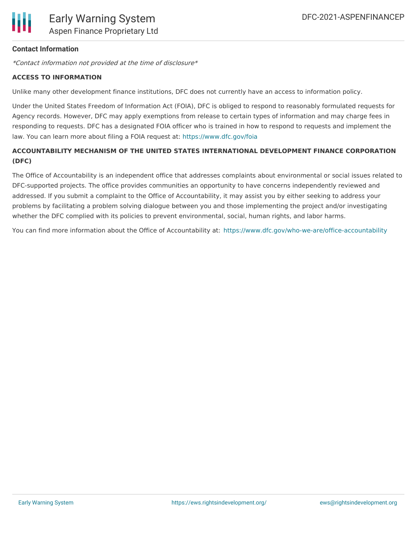

### **Contact Information**

\*Contact information not provided at the time of disclosure\*

#### **ACCESS TO INFORMATION**

Unlike many other development finance institutions, DFC does not currently have an access to information policy.

Under the United States Freedom of Information Act (FOIA), DFC is obliged to respond to reasonably formulated requests for Agency records. However, DFC may apply exemptions from release to certain types of information and may charge fees in responding to requests. DFC has a designated FOIA officer who is trained in how to respond to requests and implement the law. You can learn more about filing a FOIA request at: <https://www.dfc.gov/foia>

### **ACCOUNTABILITY MECHANISM OF THE UNITED STATES INTERNATIONAL DEVELOPMENT FINANCE CORPORATION (DFC)**

The Office of Accountability is an independent office that addresses complaints about environmental or social issues related to DFC-supported projects. The office provides communities an opportunity to have concerns independently reviewed and addressed. If you submit a complaint to the Office of Accountability, it may assist you by either seeking to address your problems by facilitating a problem solving dialogue between you and those implementing the project and/or investigating whether the DFC complied with its policies to prevent environmental, social, human rights, and labor harms.

You can find more information about the Office of Accountability at: <https://www.dfc.gov/who-we-are/office-accountability>